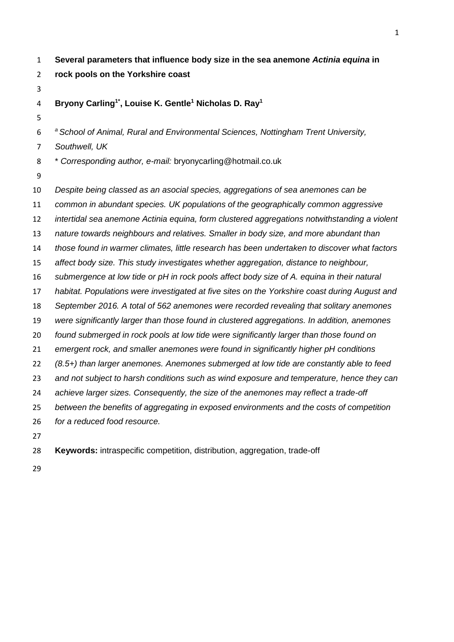- **Several parameters that influence body size in the sea anemone** *Actinia equina* **in rock pools on the Yorkshire coast**
- 

# **Bryony Carling1\* , Louise K. Gentle<sup>1</sup> Nicholas D. Ray<sup>1</sup>**

*<sup>a</sup> School of Animal, Rural and Environmental Sciences, Nottingham Trent University,* 

- *Southwell, UK*
- \* *Corresponding author, e-mail:* bryonycarling@hotmail.co.uk
- 

 *Despite being classed as an asocial species, aggregations of sea anemones can be common in abundant species. UK populations of the geographically common aggressive intertidal sea anemone Actinia equina, form clustered aggregations notwithstanding a violent nature towards neighbours and relatives. Smaller in body size, and more abundant than those found in warmer climates, little research has been undertaken to discover what factors affect body size. This study investigates whether aggregation, distance to neighbour, submergence at low tide or pH in rock pools affect body size of A. equina in their natural habitat. Populations were investigated at five sites on the Yorkshire coast during August and September 2016. A total of 562 anemones were recorded revealing that solitary anemones were significantly larger than those found in clustered aggregations. In addition, anemones found submerged in rock pools at low tide were significantly larger than those found on emergent rock, and smaller anemones were found in significantly higher pH conditions (8.5+) than larger anemones. Anemones submerged at low tide are constantly able to feed and not subject to harsh conditions such as wind exposure and temperature, hence they can achieve larger sizes. Consequently, the size of the anemones may reflect a trade-off between the benefits of aggregating in exposed environments and the costs of competition for a reduced food resource.* 

**Keywords:** intraspecific competition, distribution, aggregation, trade-off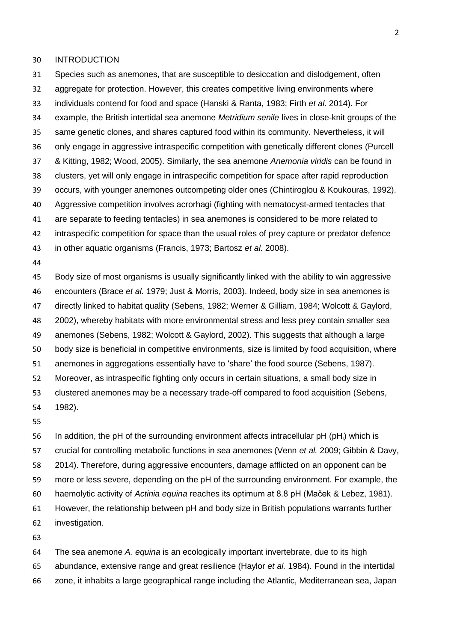#### INTRODUCTION

 Species such as anemones, that are susceptible to desiccation and dislodgement, often aggregate for protection. However, this creates competitive living environments where individuals contend for food and space (Hanski & Ranta, 1983; Firth *et al.* 2014). For example, the British intertidal sea anemone *Metridium senile* lives in close-knit groups of the same genetic clones, and shares captured food within its community. Nevertheless, it will only engage in aggressive intraspecific competition with genetically different clones (Purcell & Kitting, 1982; Wood, 2005). Similarly, the sea anemone *Anemonia viridis* can be found in clusters, yet will only engage in intraspecific competition for space after rapid reproduction occurs, with younger anemones outcompeting older ones (Chintiroglou & Koukouras, 1992). Aggressive competition involves acrorhagi (fighting with nematocyst-armed tentacles that are separate to feeding tentacles) in sea anemones is considered to be more related to intraspecific competition for space than the usual roles of prey capture or predator defence in other aquatic organisms (Francis, 1973; Bartosz *et al.* 2008).

 Body size of most organisms is usually significantly linked with the ability to win aggressive encounters (Brace *et al.* 1979; Just & Morris, 2003). Indeed, body size in sea anemones is directly linked to habitat quality (Sebens, 1982; Werner & Gilliam, 1984; Wolcott & Gaylord, 2002), whereby habitats with more environmental stress and less prey contain smaller sea anemones (Sebens, 1982; Wolcott & Gaylord, 2002). This suggests that although a large body size is beneficial in competitive environments, size is limited by food acquisition, where anemones in aggregations essentially have to 'share' the food source (Sebens, 1987). Moreover, as intraspecific fighting only occurs in certain situations, a small body size in clustered anemones may be a necessary trade-off compared to food acquisition (Sebens, 1982).

 In addition, the pH of the surrounding environment affects intracellular pH (pHi) which is crucial for controlling metabolic functions in sea anemones (Venn *et al.* 2009; Gibbin & Davy, 2014). Therefore, during aggressive encounters, damage afflicted on an opponent can be more or less severe, depending on the pH of the surrounding environment. For example, the haemolytic activity of *Actinia equina* reaches its optimum at 8.8 pH (Maček & Lebez, 1981). However, the relationship between pH and body size in British populations warrants further investigation.

 The sea anemone *A. equina* is an ecologically important invertebrate, due to its high abundance, extensive range and great resilience (Haylor *et al.* 1984). Found in the intertidal zone, it inhabits a large geographical range including the Atlantic, Mediterranean sea, Japan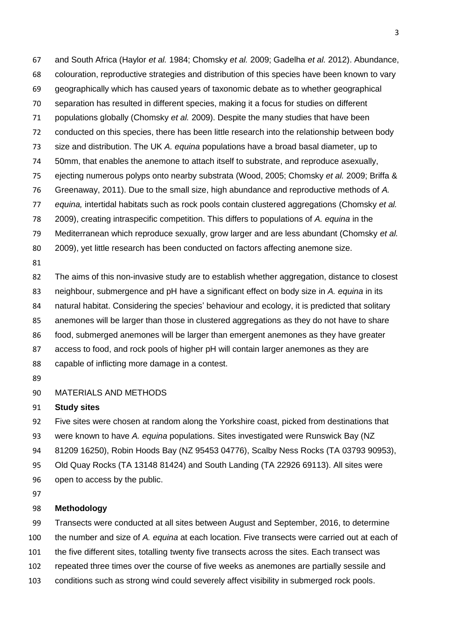and South Africa (Haylor *et al.* 1984; Chomsky *et al.* 2009; Gadelha *et al.* 2012). Abundance,

- colouration, reproductive strategies and distribution of this species have been known to vary
- geographically which has caused years of taxonomic debate as to whether geographical
- separation has resulted in different species, making it a focus for studies on different
- populations globally (Chomsky *et al.* 2009). Despite the many studies that have been
- conducted on this species, there has been little research into the relationship between body
- size and distribution. The UK *A. equina* populations have a broad basal diameter, up to
- 50mm, that enables the anemone to attach itself to substrate, and reproduce asexually,
- ejecting numerous polyps onto nearby substrata (Wood, 2005; Chomsky *et al.* 2009; Briffa &
- Greenaway, 2011). Due to the small size, high abundance and reproductive methods of *A.*
- *equina,* intertidal habitats such as rock pools contain clustered aggregations (Chomsky *et al.*
- 2009), creating intraspecific competition. This differs to populations of *A. equina* in the
- Mediterranean which reproduce sexually, grow larger and are less abundant (Chomsky *et al.*
- 2009), yet little research has been conducted on factors affecting anemone size.
- 

 The aims of this non-invasive study are to establish whether aggregation, distance to closest neighbour, submergence and pH have a significant effect on body size in *A. equina* in its natural habitat. Considering the species' behaviour and ecology, it is predicted that solitary anemones will be larger than those in clustered aggregations as they do not have to share food, submerged anemones will be larger than emergent anemones as they have greater access to food, and rock pools of higher pH will contain larger anemones as they are capable of inflicting more damage in a contest.

## MATERIALS AND METHODS

## **Study sites**

Five sites were chosen at random along the Yorkshire coast, picked from destinations that

- were known to have *A. equina* populations. Sites investigated were Runswick Bay (NZ
- 81209 16250), Robin Hoods Bay (NZ 95453 04776), Scalby Ness Rocks (TA 03793 90953),
- Old Quay Rocks (TA 13148 81424) and South Landing (TA 22926 69113). All sites were
- open to access by the public.
- 

# **Methodology**

Transects were conducted at all sites between August and September, 2016, to determine

the number and size of *A. equina* at each location. Five transects were carried out at each of

the five different sites, totalling twenty five transects across the sites. Each transect was

- repeated three times over the course of five weeks as anemones are partially sessile and
- conditions such as strong wind could severely affect visibility in submerged rock pools.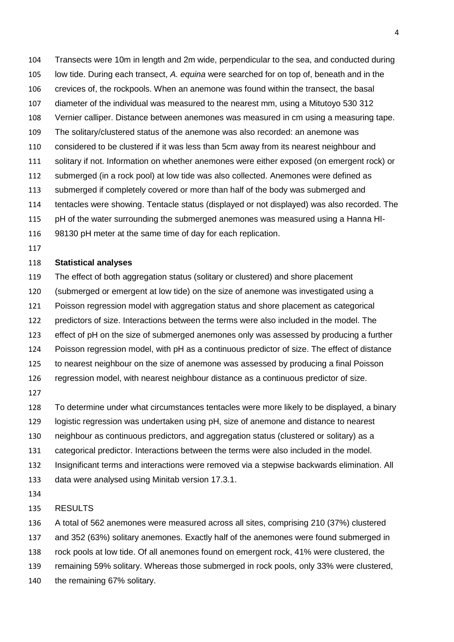Transects were 10m in length and 2m wide, perpendicular to the sea, and conducted during low tide. During each transect, *A. equina* were searched for on top of, beneath and in the crevices of, the rockpools. When an anemone was found within the transect, the basal diameter of the individual was measured to the nearest mm, using a Mitutoyo 530 312 Vernier calliper. Distance between anemones was measured in cm using a measuring tape. The solitary/clustered status of the anemone was also recorded: an anemone was considered to be clustered if it was less than 5cm away from its nearest neighbour and solitary if not. Information on whether anemones were either exposed (on emergent rock) or submerged (in a rock pool) at low tide was also collected. Anemones were defined as submerged if completely covered or more than half of the body was submerged and tentacles were showing. Tentacle status (displayed or not displayed) was also recorded. The pH of the water surrounding the submerged anemones was measured using a Hanna HI-98130 pH meter at the same time of day for each replication.

### **Statistical analyses**

- The effect of both aggregation status (solitary or clustered) and shore placement
- (submerged or emergent at low tide) on the size of anemone was investigated using a
- Poisson regression model with aggregation status and shore placement as categorical
- predictors of size. Interactions between the terms were also included in the model. The
- effect of pH on the size of submerged anemones only was assessed by producing a further
- Poisson regression model, with pH as a continuous predictor of size. The effect of distance
- to nearest neighbour on the size of anemone was assessed by producing a final Poisson
- regression model, with nearest neighbour distance as a continuous predictor of size.
- 
- To determine under what circumstances tentacles were more likely to be displayed, a binary
- logistic regression was undertaken using pH, size of anemone and distance to nearest
- neighbour as continuous predictors, and aggregation status (clustered or solitary) as a
- categorical predictor. Interactions between the terms were also included in the model.
- Insignificant terms and interactions were removed via a stepwise backwards elimination. All
- data were analysed using Minitab version 17.3.1.
- 
- RESULTS

A total of 562 anemones were measured across all sites, comprising 210 (37%) clustered

- and 352 (63%) solitary anemones. Exactly half of the anemones were found submerged in
- rock pools at low tide. Of all anemones found on emergent rock, 41% were clustered, the
- remaining 59% solitary. Whereas those submerged in rock pools, only 33% were clustered,
- 140 the remaining 67% solitary.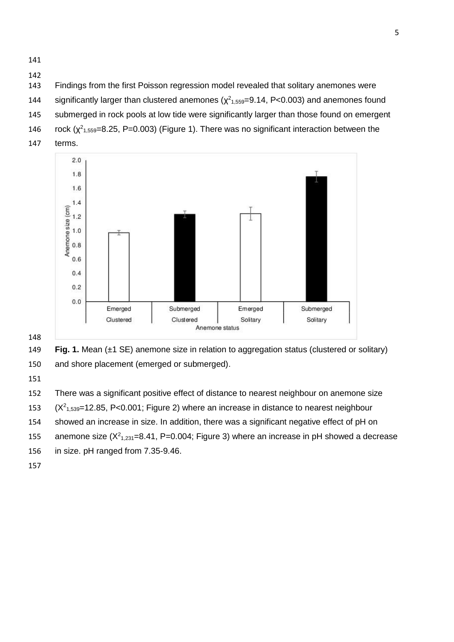- Findings from the first Poisson regression model revealed that solitary anemones were
- 144 significantly larger than clustered anemones  $(\chi^2_{1,559}=9.14, P<0.003)$  and anemones found
- submerged in rock pools at low tide were significantly larger than those found on emergent
- 146 rock  $(\chi^2_{1,559}=8.25, P=0.003)$  (Figure 1). There was no significant interaction between the
- terms.





 **Fig. 1.** Mean (±1 SE) anemone size in relation to aggregation status (clustered or solitary) and shore placement (emerged or submerged).

 There was a significant positive effect of distance to nearest neighbour on anemone size  $(X^2_{1.539}=12.85, P<0.001;$  Figure 2) where an increase in distance to nearest neighbour showed an increase in size. In addition, there was a significant negative effect of pH on 155 anemone size  $(X^2_{1,231}=8.41, P=0.004;$  Figure 3) where an increase in pH showed a decrease in size. pH ranged from 7.35-9.46.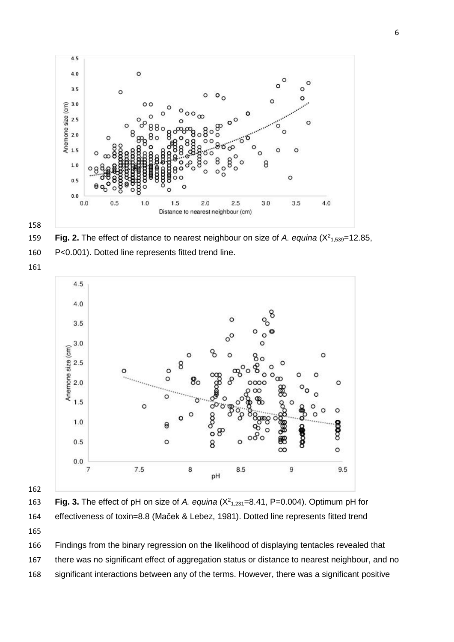



**Fig. 2.** The effect of distance to nearest neighbour on size of *A. equina* ( $X^2$ <sub>1,539</sub>=12.85,

P<0.001). Dotted line represents fitted trend line.



163 **Fig. 3.** The effect of pH on size of *A. equina*  $(X^2_{1,231}=8.41, P=0.004)$ . Optimum pH for effectiveness of toxin=8.8 (Maček & Lebez, 1981). Dotted line represents fitted trend 

 Findings from the binary regression on the likelihood of displaying tentacles revealed that there was no significant effect of aggregation status or distance to nearest neighbour, and no significant interactions between any of the terms. However, there was a significant positive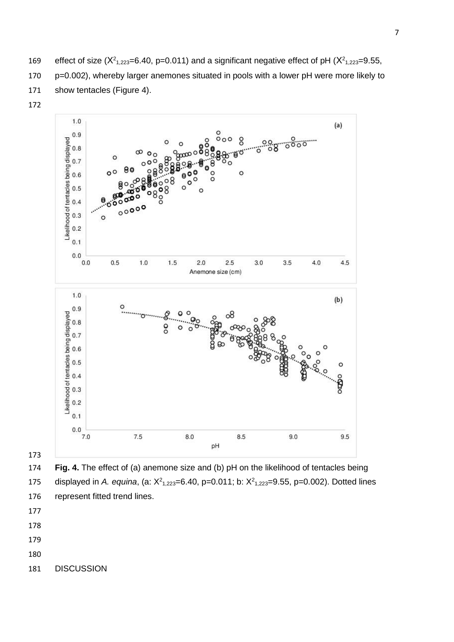169 effect of size ( $X^2_{1,223}=6.40$ , p=0.011) and a significant negative effect of pH ( $X^2_{1,223}=9.55$ , p=0.002), whereby larger anemones situated in pools with a lower pH were more likely to show tentacles (Figure 4).







175 displayed in A. equina, (a:  $X^2_{1,223}=6.40$ , p=0.011; b:  $X^2_{1,223}=9.55$ , p=0.002). Dotted lines 176 represent fitted trend lines.

- 
- 

- 
- DISCUSSION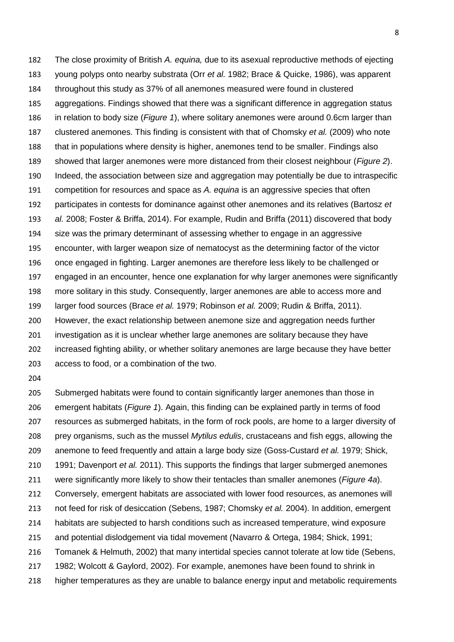The close proximity of British *A. equina,* due to its asexual reproductive methods of ejecting young polyps onto nearby substrata (Orr *et al.* 1982; Brace & Quicke, 1986), was apparent throughout this study as 37% of all anemones measured were found in clustered aggregations. Findings showed that there was a significant difference in aggregation status in relation to body size (*Figure 1*), where solitary anemones were around 0.6cm larger than clustered anemones. This finding is consistent with that of Chomsky *et al.* (2009) who note that in populations where density is higher, anemones tend to be smaller. Findings also showed that larger anemones were more distanced from their closest neighbour (*Figure 2*). Indeed, the association between size and aggregation may potentially be due to intraspecific competition for resources and space as *A. equina* is an aggressive species that often participates in contests for dominance against other anemones and its relatives (Bartosz *et al.* 2008; Foster & Briffa, 2014). For example, Rudin and Briffa (2011) discovered that body size was the primary determinant of assessing whether to engage in an aggressive encounter, with larger weapon size of nematocyst as the determining factor of the victor once engaged in fighting. Larger anemones are therefore less likely to be challenged or engaged in an encounter, hence one explanation for why larger anemones were significantly more solitary in this study. Consequently, larger anemones are able to access more and larger food sources (Brace *et al.* 1979; Robinson *et al.* 2009; Rudin & Briffa, 2011). However, the exact relationship between anemone size and aggregation needs further investigation as it is unclear whether large anemones are solitary because they have increased fighting ability, or whether solitary anemones are large because they have better access to food, or a combination of the two.

 Submerged habitats were found to contain significantly larger anemones than those in emergent habitats (*Figure 1*). Again, this finding can be explained partly in terms of food resources as submerged habitats, in the form of rock pools, are home to a larger diversity of prey organisms, such as the mussel *Mytilus edulis*, crustaceans and fish eggs, allowing the anemone to feed frequently and attain a large body size (Goss-Custard *et al.* 1979; Shick, 1991; Davenport *et al.* 2011). This supports the findings that larger submerged anemones were significantly more likely to show their tentacles than smaller anemones (*Figure 4a*). Conversely, emergent habitats are associated with lower food resources, as anemones will not feed for risk of desiccation (Sebens, 1987; Chomsky *et al.* 2004). In addition, emergent habitats are subjected to harsh conditions such as increased temperature, wind exposure and potential dislodgement via tidal movement (Navarro & Ortega, 1984; Shick, 1991; Tomanek & Helmuth, 2002) that many intertidal species cannot tolerate at low tide (Sebens, 1982; Wolcott & Gaylord, 2002). For example, anemones have been found to shrink in higher temperatures as they are unable to balance energy input and metabolic requirements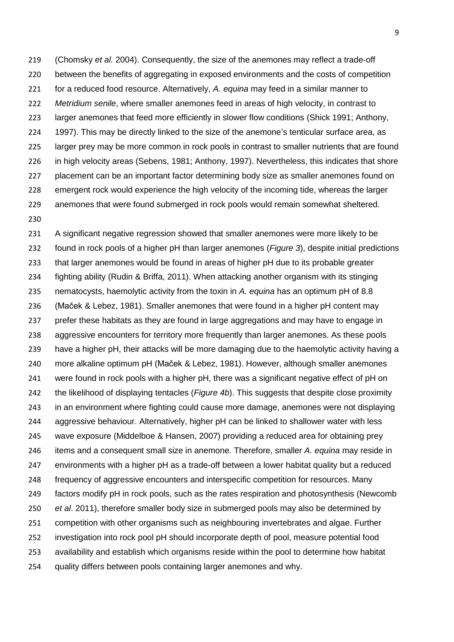(Chomsky *et al.* 2004). Consequently, the size of the anemones may reflect a trade-off between the benefits of aggregating in exposed environments and the costs of competition for a reduced food resource. Alternatively, *A. equina* may feed in a similar manner to *Metridium senile*, where smaller anemones feed in areas of high velocity, in contrast to larger anemones that feed more efficiently in slower flow conditions (Shick 1991; Anthony, 1997). This may be directly linked to the size of the anemone's tenticular surface area, as larger prey may be more common in rock pools in contrast to smaller nutrients that are found in high velocity areas (Sebens, 1981; Anthony, 1997). Nevertheless, this indicates that shore 227 placement can be an important factor determining body size as smaller anemones found on emergent rock would experience the high velocity of the incoming tide, whereas the larger anemones that were found submerged in rock pools would remain somewhat sheltered. 

 A significant negative regression showed that smaller anemones were more likely to be found in rock pools of a higher pH than larger anemones (*Figure 3*), despite initial predictions that larger anemones would be found in areas of higher pH due to its probable greater fighting ability (Rudin & Briffa, 2011). When attacking another organism with its stinging nematocysts, haemolytic activity from the toxin in *A. equina* has an optimum pH of 8.8 (Maček & Lebez, 1981). Smaller anemones that were found in a higher pH content may prefer these habitats as they are found in large aggregations and may have to engage in aggressive encounters for territory more frequently than larger anemones. As these pools have a higher pH, their attacks will be more damaging due to the haemolytic activity having a more alkaline optimum pH (Maček & Lebez, 1981). However, although smaller anemones were found in rock pools with a higher pH, there was a significant negative effect of pH on the likelihood of displaying tentacles (*Figure 4b*). This suggests that despite close proximity in an environment where fighting could cause more damage, anemones were not displaying aggressive behaviour. Alternatively, higher pH can be linked to shallower water with less wave exposure (Middelboe & Hansen, 2007) providing a reduced area for obtaining prey items and a consequent small size in anemone. Therefore, smaller *A. equina* may reside in environments with a higher pH as a trade-off between a lower habitat quality but a reduced frequency of aggressive encounters and interspecific competition for resources. Many factors modify pH in rock pools, such as the rates respiration and photosynthesis (Newcomb *et al*. 2011), therefore smaller body size in submerged pools may also be determined by competition with other organisms such as neighbouring invertebrates and algae. Further investigation into rock pool pH should incorporate depth of pool, measure potential food availability and establish which organisms reside within the pool to determine how habitat quality differs between pools containing larger anemones and why.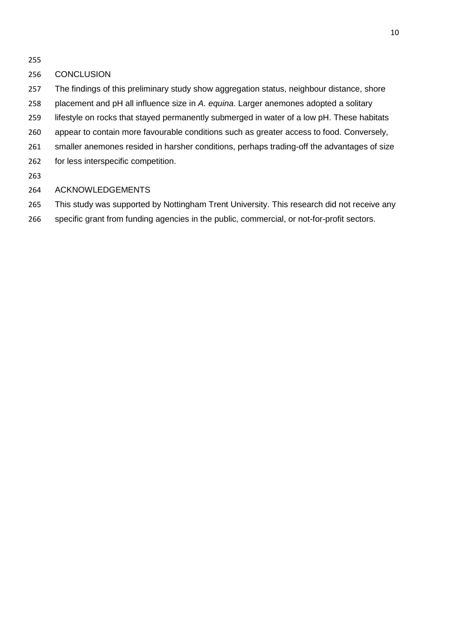### CONCLUSION

- The findings of this preliminary study show aggregation status, neighbour distance, shore
- placement and pH all influence size in *A. equina*. Larger anemones adopted a solitary
- lifestyle on rocks that stayed permanently submerged in water of a low pH. These habitats
- appear to contain more favourable conditions such as greater access to food. Conversely,
- smaller anemones resided in harsher conditions, perhaps trading-off the advantages of size
- for less interspecific competition.
- 

### ACKNOWLEDGEMENTS

- This study was supported by Nottingham Trent University. This research did not receive any
- specific grant from funding agencies in the public, commercial, or not-for-profit sectors.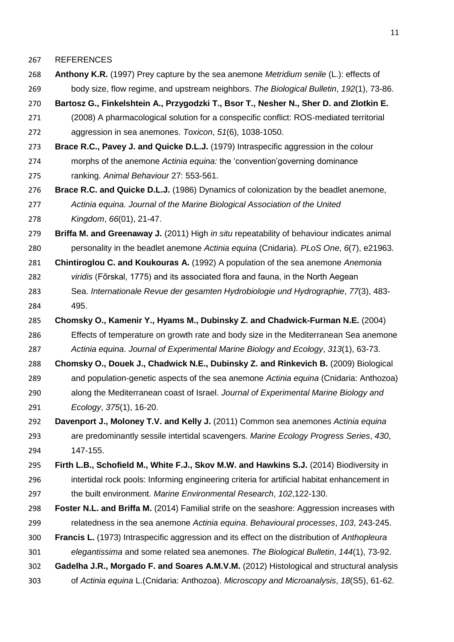REFERENCES

 **Anthony K.R.** (1997) Prey capture by the sea anemone *Metridium senile* (L.): effects of body size, flow regime, and upstream neighbors. *The Biological Bulletin*, *192*(1), 73-86.

**Bartosz G., Finkelshtein A., Przygodzki T., Bsor T., Nesher N., Sher D. and Zlotkin E.**

- (2008) A pharmacological solution for a conspecific conflict: ROS-mediated territorial aggression in sea anemones. *Toxicon*, *51*(6), 1038-1050.
- **Brace R.C., Pavey J. and Quicke D.L.J.** (1979) Intraspecific aggression in the colour morphs of the anemone *Actinia equina:* the 'convention'governing dominance ranking. *Animal Behaviour* 27: 553-561.
- **Brace R.C. and Quicke D.L.J.** (1986) Dynamics of colonization by the beadlet anemone, *Actinia equina. Journal of the Marine Biological Association of the United Kingdom*, *66*(01), 21-47.
- **Briffa M. and Greenaway J.** (2011) High *in situ* repeatability of behaviour indicates animal personality in the beadlet anemone *Actinia equina* (Cnidaria). *PLoS One*, *6*(7), e21963.
- **Chintiroglou C. and Koukouras A.** (1992) A population of the sea anemone *Anemonia*
- *viridis* (Főrskal, 1775) and its associated flora and fauna, in the North Aegean
- Sea. *Internationale Revue der gesamten Hydrobiologie und Hydrographie*, *77*(3), 483- 495.
- **Chomsky O., Kamenir Y., Hyams M., Dubinsky Z. and Chadwick-Furman N.E.** (2004)
- Effects of temperature on growth rate and body size in the Mediterranean Sea anemone *Actinia equina*. *Journal of Experimental Marine Biology and Ecology*, *313*(1), 63-73.
- **Chomsky O., Douek J., Chadwick N.E., Dubinsky Z. and Rinkevich B.** (2009) Biological and population-genetic aspects of the sea anemone *Actinia equina* (Cnidaria: Anthozoa) along the Mediterranean coast of Israel. *Journal of Experimental Marine Biology and Ecology*, *375*(1), 16-20.
- **Davenport J., Moloney T.V. and Kelly J.** (2011) Common sea anemones *Actinia equina* are predominantly sessile intertidal scavengers. *Marine Ecology Progress Series*, *430*, 147-155.
- **Firth L.B., Schofield M., White F.J., Skov M.W. and Hawkins S.J.** (2014) Biodiversity in intertidal rock pools: Informing engineering criteria for artificial habitat enhancement in the built environment. *Marine Environmental Research*, *102*,122-130.
- **Foster N.L. and Briffa M.** (2014) Familial strife on the seashore: Aggression increases with relatedness in the sea anemone *Actinia equina*. *Behavioural processes*, *103*, 243-245.
- **Francis L.** (1973) Intraspecific aggression and its effect on the distribution of *Anthopleura*
- *elegantissima* and some related sea anemones. *The Biological Bulletin*, *144*(1), 73-92.
- **Gadelha J.R., Morgado F. and Soares A.M.V.M.** (2012) Histological and structural analysis of *Actinia equina* L.(Cnidaria: Anthozoa). *Microscopy and Microanalysis*, *18*(S5), 61-62.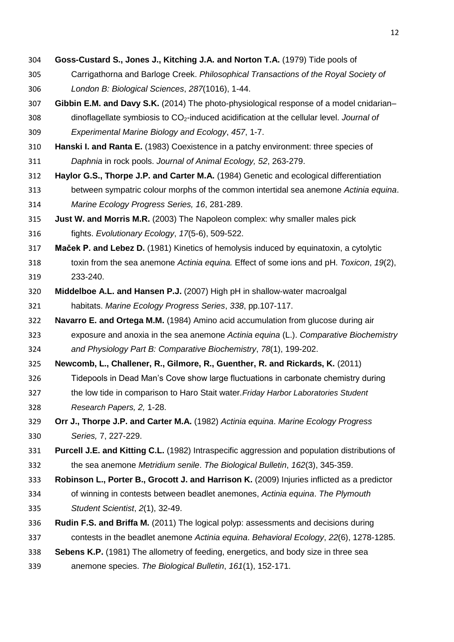Carrigathorna and Barloge Creek. *Philosophical Transactions of the Royal Society of London B: Biological Sciences*, *287*(1016), 1-44. **Gibbin E.M. and Davy S.K.** (2014) The photo-physiological response of a model cnidarian– dinoflagellate symbiosis to CO2-induced acidification at the cellular level. *Journal of Experimental Marine Biology and Ecology*, *457*, 1-7. **Hanski I. and Ranta E.** (1983) Coexistence in a patchy environment: three species of *Daphnia* in rock pools. *Journal of Animal Ecology, 52*, 263-279. **Haylor G.S., Thorpe J.P. and Carter M.A.** (1984) Genetic and ecological differentiation between sympatric colour morphs of the common intertidal sea anemone *Actinia equina*. *Marine Ecology Progress Series, 16*, 281-289. **Just W. and Morris M.R.** (2003) The Napoleon complex: why smaller males pick fights. *Evolutionary Ecology*, *17*(5-6), 509-522. **Maček P. and Lebez D.** (1981) Kinetics of hemolysis induced by equinatoxin, a cytolytic toxin from the sea anemone *Actinia equina.* Effect of some ions and pH. *Toxicon*, *19*(2), 233-240. **Middelboe A.L. and Hansen P.J.** (2007) High pH in shallow-water macroalgal habitats. *Marine Ecology Progress Series*, *338*, pp.107-117. **Navarro E. and Ortega M.M.** (1984) Amino acid accumulation from glucose during air

**Goss-Custard S., Jones J., Kitching J.A. and Norton T.A.** (1979) Tide pools of

- exposure and anoxia in the sea anemone *Actinia equina* (L.). *Comparative Biochemistry and Physiology Part B: Comparative Biochemistry*, *78*(1), 199-202.
- **Newcomb, L., Challener, R., Gilmore, R., Guenther, R. and Rickards, K.** (2011)
- Tidepools in Dead Man's Cove show large fluctuations in carbonate chemistry during the low tide in comparison to Haro Stait water*.Friday Harbor Laboratories Student Research Papers, 2,* 1-28.
- **Orr J., Thorpe J.P. and Carter M.A.** (1982) *Actinia equina*. *Marine Ecology Progress Series,* 7, 227-229.
- **Purcell J.E. and Kitting C.L.** (1982) Intraspecific aggression and population distributions of the sea anemone *Metridium senile*. *The Biological Bulletin*, *162*(3), 345-359.
- **Robinson L., Porter B., Grocott J. and Harrison K.** (2009) Injuries inflicted as a predictor
- of winning in contests between beadlet anemones, *Actinia equina*. *The Plymouth Student Scientist*, *2*(1), 32-49.
- **Rudin F.S. and Briffa M.** (2011) The logical polyp: assessments and decisions during
- contests in the beadlet anemone *Actinia equina*. *Behavioral Ecology*, *22*(6), 1278-1285.
- **Sebens K.P.** (1981) The allometry of feeding, energetics, and body size in three sea
- anemone species. *The Biological Bulletin*, *161*(1), 152-171.